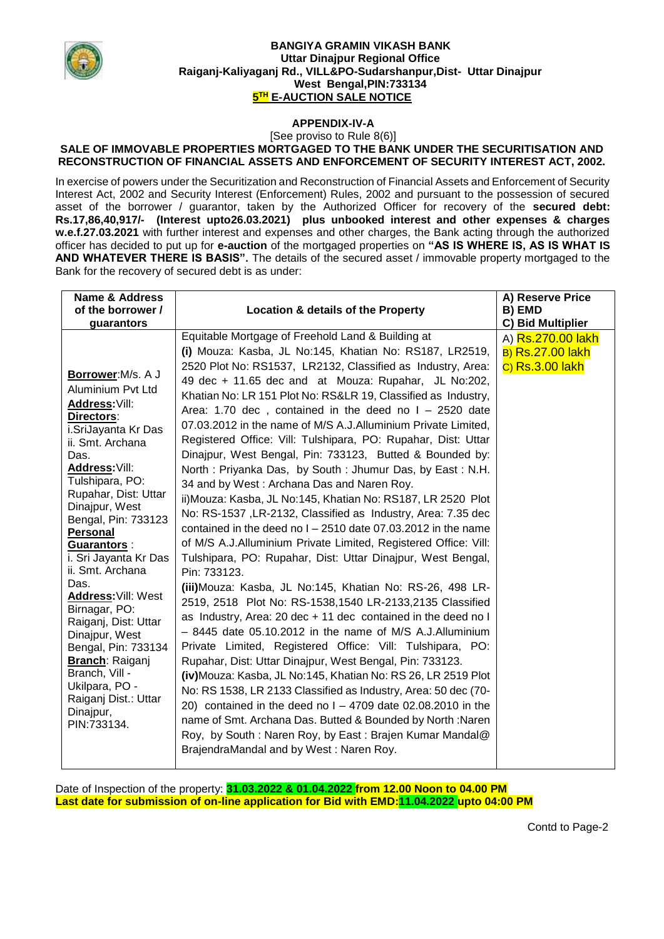

### **BANGIYA GRAMIN VIKASH BANK Uttar Dinajpur Regional Office Raiganj-Kaliyaganj Rd., VILL&PO-Sudarshanpur,Dist- Uttar Dinajpur West Bengal,PIN:733134 5 TH E-AUCTION SALE NOTICE**

# **APPENDIX-IV-A**

#### [See proviso to Rule 8(6)] **SALE OF IMMOVABLE PROPERTIES MORTGAGED TO THE BANK UNDER THE SECURITISATION AND RECONSTRUCTION OF FINANCIAL ASSETS AND ENFORCEMENT OF SECURITY INTEREST ACT, 2002.**

In exercise of powers under the Securitization and Reconstruction of Financial Assets and Enforcement of Security Interest Act, 2002 and Security Interest (Enforcement) Rules, 2002 and pursuant to the possession of secured asset of the borrower / guarantor, taken by the Authorized Officer for recovery of the **secured debt: Rs.17,86,40,917/- (Interest upto26.03.2021) plus unbooked interest and other expenses & charges w.e.f.27.03.2021** with further interest and expenses and other charges, the Bank acting through the authorized officer has decided to put up for **e-auction** of the mortgaged properties on **"AS IS WHERE IS, AS IS WHAT IS AND WHATEVER THERE IS BASIS".** The details of the secured asset / immovable property mortgaged to the Bank for the recovery of secured debt is as under:

| <b>Name &amp; Address</b><br>of the borrower /                                                                                                                                                                                                                                                                                                                                                                                                                                                                                                     |                                                                                                                                                                                                                                                                                                                                                                                                                                                                                                                                                                                                                                                                                                                                                                                                                                                                                                                                                                                                                                                                                                                                                                                                                                                                                                                                                                                                                                                                                                                                                                                                                                                                                                                                                                                           | A) Reserve Price                                                |
|----------------------------------------------------------------------------------------------------------------------------------------------------------------------------------------------------------------------------------------------------------------------------------------------------------------------------------------------------------------------------------------------------------------------------------------------------------------------------------------------------------------------------------------------------|-------------------------------------------------------------------------------------------------------------------------------------------------------------------------------------------------------------------------------------------------------------------------------------------------------------------------------------------------------------------------------------------------------------------------------------------------------------------------------------------------------------------------------------------------------------------------------------------------------------------------------------------------------------------------------------------------------------------------------------------------------------------------------------------------------------------------------------------------------------------------------------------------------------------------------------------------------------------------------------------------------------------------------------------------------------------------------------------------------------------------------------------------------------------------------------------------------------------------------------------------------------------------------------------------------------------------------------------------------------------------------------------------------------------------------------------------------------------------------------------------------------------------------------------------------------------------------------------------------------------------------------------------------------------------------------------------------------------------------------------------------------------------------------------|-----------------------------------------------------------------|
| guarantors                                                                                                                                                                                                                                                                                                                                                                                                                                                                                                                                         | <b>Location &amp; details of the Property</b>                                                                                                                                                                                                                                                                                                                                                                                                                                                                                                                                                                                                                                                                                                                                                                                                                                                                                                                                                                                                                                                                                                                                                                                                                                                                                                                                                                                                                                                                                                                                                                                                                                                                                                                                             | B) EMD<br>C) Bid Multiplier                                     |
| Borrower: M/s. A J<br>Aluminium Pvt Ltd<br>Address: Vill:<br>Directors:<br>i.SriJayanta Kr Das<br>ii. Smt. Archana<br>Das.<br>Address: Vill:<br>Tulshipara, PO:<br>Rupahar, Dist: Uttar<br>Dinajpur, West<br>Bengal, Pin: 733123<br><b>Personal</b><br>Guarantors:<br>i. Sri Jayanta Kr Das<br>ii. Smt. Archana<br>Das.<br>Address: Vill: West<br>Birnagar, PO:<br>Raiganj, Dist: Uttar<br>Dinajpur, West<br>Bengal, Pin: 733134<br><b>Branch: Raiganj</b><br>Branch, Vill -<br>Ukilpara, PO -<br>Raiganj Dist.: Uttar<br>Dinajpur,<br>PIN:733134. | Equitable Mortgage of Freehold Land & Building at<br>(i) Mouza: Kasba, JL No:145, Khatian No: RS187, LR2519,<br>2520 Plot No: RS1537, LR2132, Classified as Industry, Area:<br>49 dec + 11.65 dec and at Mouza: Rupahar, JL No:202,<br>Khatian No: LR 151 Plot No: RS&LR 19, Classified as Industry,<br>Area: 1.70 dec, contained in the deed no $I - 2520$ date<br>07.03.2012 in the name of M/S A.J. Alluminium Private Limited,<br>Registered Office: Vill: Tulshipara, PO: Rupahar, Dist: Uttar<br>Dinajpur, West Bengal, Pin: 733123, Butted & Bounded by:<br>North: Priyanka Das, by South: Jhumur Das, by East: N.H.<br>34 and by West: Archana Das and Naren Roy.<br>ii) Mouza: Kasba, JL No:145, Khatian No: RS187, LR 2520 Plot<br>No: RS-1537, LR-2132, Classified as Industry, Area: 7.35 dec<br>contained in the deed no $I - 2510$ date 07.03.2012 in the name<br>of M/S A.J. Alluminium Private Limited, Registered Office: Vill:<br>Tulshipara, PO: Rupahar, Dist: Uttar Dinajpur, West Bengal,<br>Pin: 733123.<br>(iii) Mouza: Kasba, JL No:145, Khatian No: RS-26, 498 LR-<br>2519, 2518 Plot No: RS-1538, 1540 LR-2133, 2135 Classified<br>as Industry, Area: 20 dec + 11 dec contained in the deed no I<br>- 8445 date 05.10.2012 in the name of M/S A.J.Alluminium<br>Private Limited, Registered Office: Vill: Tulshipara, PO:<br>Rupahar, Dist: Uttar Dinajpur, West Bengal, Pin: 733123.<br>(iv) Mouza: Kasba, JL No:145, Khatian No: RS 26, LR 2519 Plot<br>No: RS 1538, LR 2133 Classified as Industry, Area: 50 dec (70-<br>20) contained in the deed no $I - 4709$ date 02.08.2010 in the<br>name of Smt. Archana Das. Butted & Bounded by North: Naren<br>Roy, by South: Naren Roy, by East: Brajen Kumar Mandal@<br>BrajendraMandal and by West: Naren Roy. | A) Rs.270.00 lakh<br><b>B) Rs.27.00 lakh</b><br>C) Rs.3.00 lakh |

Date of Inspection of the property: **31.03.2022 & 01.04.2022 from 12.00 Noon to 04.00 PM Last date for submission of on-line application for Bid with EMD:11.04.2022 upto 04:00 PM**

Contd to Page-2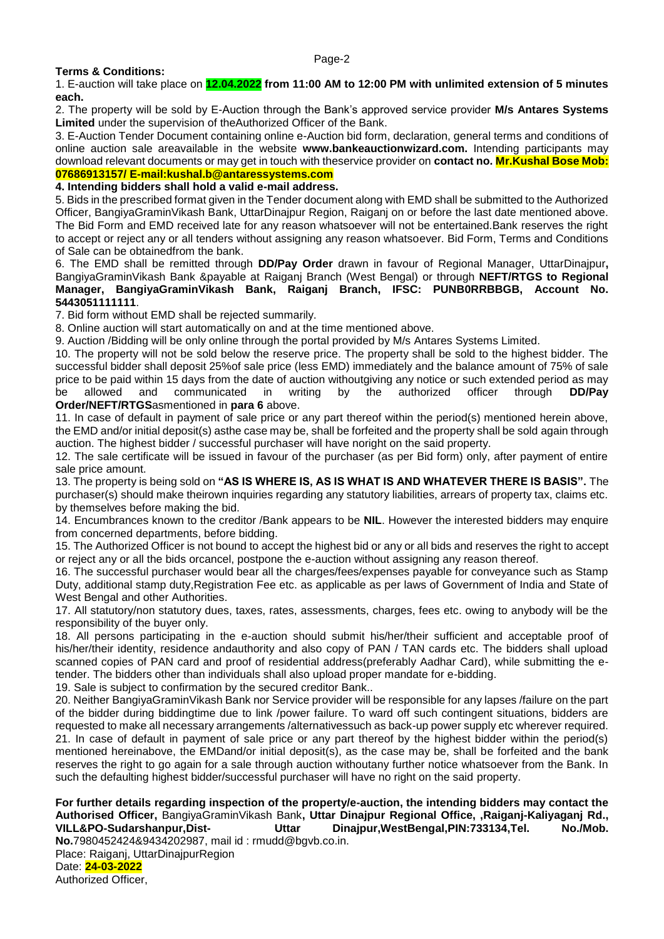### **Terms & Conditions:**

1. E-auction will take place on **12.04.2022 from 11:00 AM to 12:00 PM with unlimited extension of 5 minutes each.**

2. The property will be sold by E-Auction through the Bank's approved service provider **M/s Antares Systems Limited** under the supervision of theAuthorized Officer of the Bank.

3. E-Auction Tender Document containing online e-Auction bid form, declaration, general terms and conditions of online auction sale areavailable in the website **www.bankeauctionwizard.com.** Intending participants may download relevant documents or may get in touch with theservice provider on **contact no. Mr.Kushal Bose Mob: 07686913157/ E-mail:kushal.b@antaressystems.com**

# **4. Intending bidders shall hold a valid e-mail address.**

5. Bids in the prescribed format given in the Tender document along with EMD shall be submitted to the Authorized Officer, BangiyaGraminVikash Bank, UttarDinajpur Region, Raiganj on or before the last date mentioned above. The Bid Form and EMD received late for any reason whatsoever will not be entertained.Bank reserves the right to accept or reject any or all tenders without assigning any reason whatsoever. Bid Form, Terms and Conditions of Sale can be obtainedfrom the bank.

6. The EMD shall be remitted through **DD/Pay Order** drawn in favour of Regional Manager, UttarDinajpur**,**  BangiyaGraminVikash Bank &payable at Raiganj Branch (West Bengal) or through **NEFT/RTGS to Regional Manager, BangiyaGraminVikash Bank, Raiganj Branch, IFSC: PUNB0RRBBGB, Account No. 5443051111111**.

7. Bid form without EMD shall be rejected summarily.

8. Online auction will start automatically on and at the time mentioned above.

9. Auction /Bidding will be only online through the portal provided by M/s Antares Systems Limited.

10. The property will not be sold below the reserve price. The property shall be sold to the highest bidder. The successful bidder shall deposit 25%of sale price (less EMD) immediately and the balance amount of 75% of sale price to be paid within 15 days from the date of auction withoutgiving any notice or such extended period as may be allowed and communicated in writing by the authorized officer through **DD/Pay Order/NEFT/RTGS**asmentioned in **para 6** above.

11. In case of default in payment of sale price or any part thereof within the period(s) mentioned herein above, the EMD and/or initial deposit(s) asthe case may be, shall be forfeited and the property shall be sold again through auction. The highest bidder / successful purchaser will have noright on the said property.

12. The sale certificate will be issued in favour of the purchaser (as per Bid form) only, after payment of entire sale price amount.

13. The property is being sold on **"AS IS WHERE IS, AS IS WHAT IS AND WHATEVER THERE IS BASIS".** The purchaser(s) should make theirown inquiries regarding any statutory liabilities, arrears of property tax, claims etc. by themselves before making the bid.

14. Encumbrances known to the creditor /Bank appears to be **NIL**. However the interested bidders may enquire from concerned departments, before bidding.

15. The Authorized Officer is not bound to accept the highest bid or any or all bids and reserves the right to accept or reject any or all the bids orcancel, postpone the e-auction without assigning any reason thereof.

16. The successful purchaser would bear all the charges/fees/expenses payable for conveyance such as Stamp Duty, additional stamp duty,Registration Fee etc. as applicable as per laws of Government of India and State of West Bengal and other Authorities.

17. All statutory/non statutory dues, taxes, rates, assessments, charges, fees etc. owing to anybody will be the responsibility of the buyer only.

18. All persons participating in the e-auction should submit his/her/their sufficient and acceptable proof of his/her/their identity, residence andauthority and also copy of PAN / TAN cards etc. The bidders shall upload scanned copies of PAN card and proof of residential address(preferably Aadhar Card), while submitting the etender. The bidders other than individuals shall also upload proper mandate for e-bidding.

19. Sale is subject to confirmation by the secured creditor Bank..

20. Neither BangiyaGraminVikash Bank nor Service provider will be responsible for any lapses /failure on the part of the bidder during biddingtime due to link /power failure. To ward off such contingent situations, bidders are requested to make all necessary arrangements /alternativessuch as back-up power supply etc wherever required. 21. In case of default in payment of sale price or any part thereof by the highest bidder within the period(s) mentioned hereinabove, the EMDand/or initial deposit(s), as the case may be, shall be forfeited and the bank reserves the right to go again for a sale through auction withoutany further notice whatsoever from the Bank. In such the defaulting highest bidder/successful purchaser will have no right on the said property.

**For further details regarding inspection of the property/e-auction, the intending bidders may contact the Authorised Officer,** BangiyaGraminVikash Bank**, Uttar Dinajpur Regional Office, ,Raiganj-Kaliyaganj Rd., VILL&PO-Sudarshanpur,Dist- Uttar Dinajpur,WestBengal,PIN:733134,Tel. No./Mob. No.**7980452424&9434202987, mail id : rmudd@bgvb.co.in. Place: Raiganj, UttarDinajpurRegion Date: **24-03-2022** Authorized Officer,